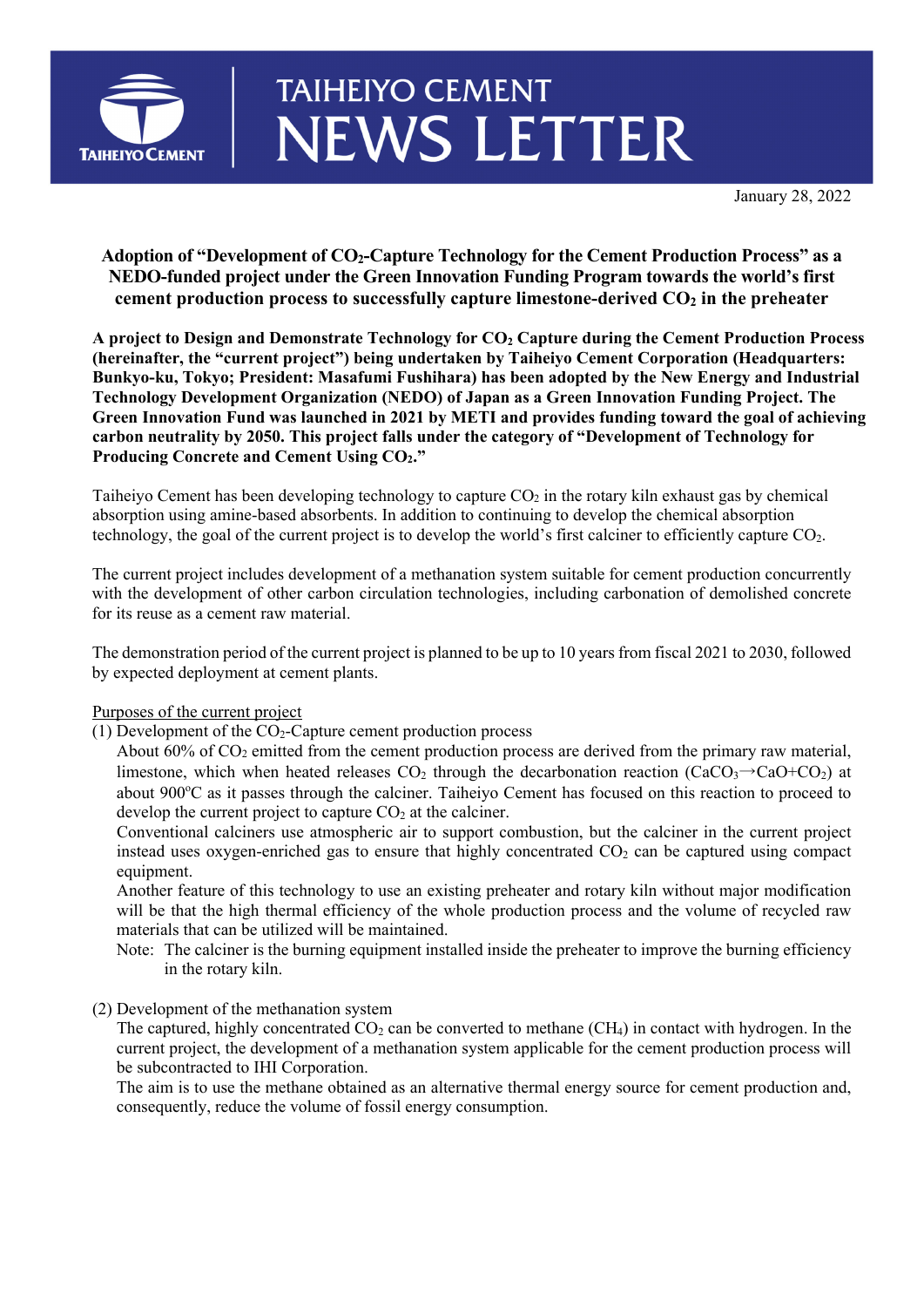

## **TAIHEIYO CEMENT NEWS LETTER**

January 28, 2022

## **Adoption of "Development of CO2-Capture Technology for the Cement Production Process" as a NEDO-funded project under the Green Innovation Funding Program towards the world's first**  cement production process to successfully capture limestone-derived  $CO<sub>2</sub>$  in the preheater

**A project to Design and Demonstrate Technology for CO2 Capture during the Cement Production Process (hereinafter, the "current project") being undertaken by Taiheiyo Cement Corporation (Headquarters: Bunkyo-ku, Tokyo; President: Masafumi Fushihara) has been adopted by the New Energy and Industrial Technology Development Organization (NEDO) of Japan as a Green Innovation Funding Project. The Green Innovation Fund was launched in 2021 by METI and provides funding toward the goal of achieving carbon neutrality by 2050. This project falls under the category of "Development of Technology for Producing Concrete and Cement Using CO2."** 

Taiheiyo Cement has been developing technology to capture  $CO<sub>2</sub>$  in the rotary kiln exhaust gas by chemical absorption using amine-based absorbents. In addition to continuing to develop the chemical absorption technology, the goal of the current project is to develop the world's first calciner to efficiently capture CO2.

The current project includes development of a methanation system suitable for cement production concurrently with the development of other carbon circulation technologies, including carbonation of demolished concrete for its reuse as a cement raw material.

The demonstration period of the current project is planned to be up to 10 years from fiscal 2021 to 2030, followed by expected deployment at cement plants.

Purposes of the current project

(1) Development of the  $CO<sub>2</sub>-C$ apture cement production process

About  $60\%$  of  $CO<sub>2</sub>$  emitted from the cement production process are derived from the primary raw material, limestone, which when heated releases  $CO_2$  through the decarbonation reaction (CaCO<sub>3</sub> $\rightarrow$ CaO+CO<sub>2</sub>) at about 900°C as it passes through the calciner. Taiheiyo Cement has focused on this reaction to proceed to develop the current project to capture  $CO<sub>2</sub>$  at the calciner.

Conventional calciners use atmospheric air to support combustion, but the calciner in the current project instead uses oxygen-enriched gas to ensure that highly concentrated CO<sub>2</sub> can be captured using compact equipment.

Another feature of this technology to use an existing preheater and rotary kiln without major modification will be that the high thermal efficiency of the whole production process and the volume of recycled raw materials that can be utilized will be maintained.

- Note: The calciner is the burning equipment installed inside the preheater to improve the burning efficiency in the rotary kiln.
- (2) Development of the methanation system

The captured, highly concentrated  $CO<sub>2</sub>$  can be converted to methane (CH<sub>4</sub>) in contact with hydrogen. In the current project, the development of a methanation system applicable for the cement production process will be subcontracted to IHI Corporation.

The aim is to use the methane obtained as an alternative thermal energy source for cement production and, consequently, reduce the volume of fossil energy consumption.